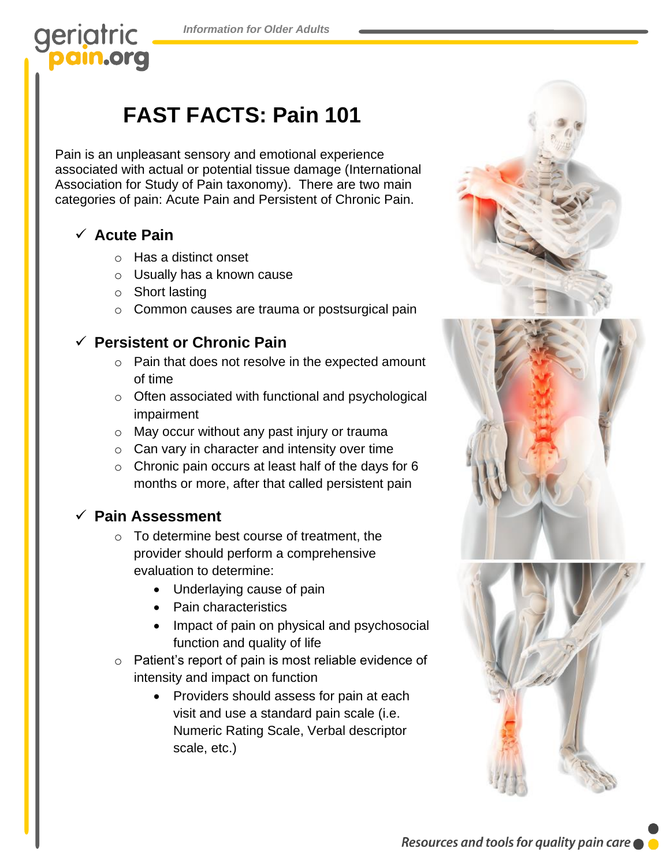*Information for Older Adults*

### geriatric pain.org

# **FAST FACTS: Pain 101**

Pain is an unpleasant sensory and emotional experience associated with actual or potential tissue damage (International Association for Study of Pain taxonomy). There are two main categories of pain: Acute Pain and Persistent of Chronic Pain.

#### ✓ **Acute Pain**

- o Has a distinct onset
- o Usually has a known cause
- o Short lasting
- o Common causes are trauma or postsurgical pain

#### ✓ **Persistent or Chronic Pain**

- o Pain that does not resolve in the expected amount of time
- o Often associated with functional and psychological impairment
- o May occur without any past injury or trauma
- o Can vary in character and intensity over time
- o Chronic pain occurs at least half of the days for 6 months or more, after that called persistent pain

### ✓ **Pain Assessment**

- o To determine best course of treatment, the provider should perform a comprehensive evaluation to determine:
	- Underlaying cause of pain
	- Pain characteristics
	- Impact of pain on physical and psychosocial function and quality of life
- o Patient's report of pain is most reliable evidence of intensity and impact on function
	- Providers should assess for pain at each visit and use a standard pain scale (i.e. Numeric Rating Scale, Verbal descriptor scale, etc.)